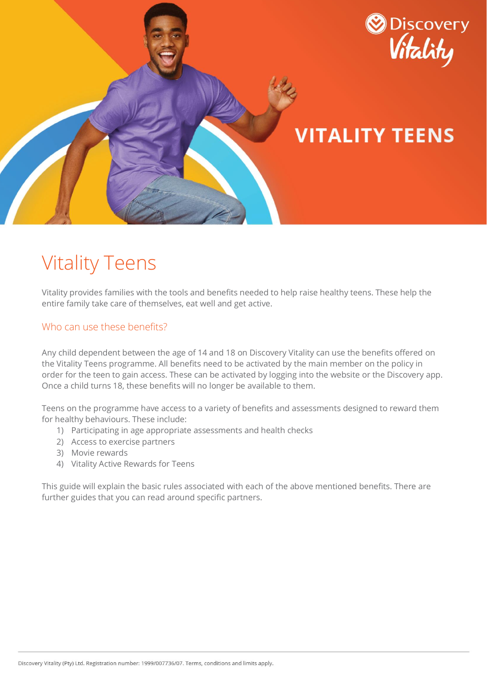

# Vitality Teens

Vitality provides families with the tools and benefits needed to help raise healthy teens. These help the entire family take care of themselves, eat well and get active.

## Who can use these benefits?

Any child dependent between the age of 14 and 18 on Discovery Vitality can use the benefits offered on the Vitality Teens programme. All benefits need to be activated by the main member on the policy in order for the teen to gain access. These can be activated by logging into the website or the Discovery app. Once a child turns 18, these benefits will no longer be available to them.

Teens on the programme have access to a variety of benefits and assessments designed to reward them for healthy behaviours. These include:

- 1) Participating in age appropriate assessments and health checks
- 2) Access to exercise partners
- 3) Movie rewards
- 4) Vitality Active Rewards for Teens

This guide will explain the basic rules associated with each of the above mentioned benefits. There are further guides that you can read around specific partners.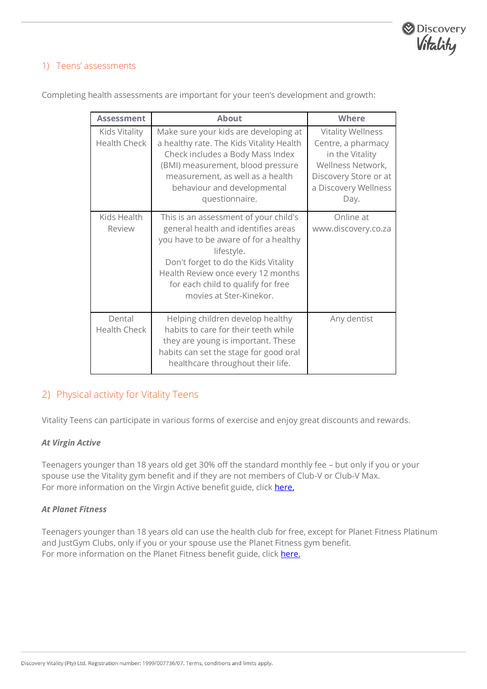

#### 1) Teens' assessments

| <b>Assessment</b>                    | <b>About</b>                                                                                                                                                                                                                                                                       | <b>Where</b>                                                                                                                                    |
|--------------------------------------|------------------------------------------------------------------------------------------------------------------------------------------------------------------------------------------------------------------------------------------------------------------------------------|-------------------------------------------------------------------------------------------------------------------------------------------------|
| Kids Vitality<br><b>Health Check</b> | Make sure your kids are developing at<br>a healthy rate. The Kids Vitality Health<br>Check includes a Body Mass Index<br>(BMI) measurement, blood pressure<br>measurement, as well as a health<br>behaviour and developmental<br>questionnaire.                                    | <b>Vitality Wellness</b><br>Centre, a pharmacy<br>in the Vitality<br>Wellness Network,<br>Discovery Store or at<br>a Discovery Wellness<br>Day. |
| Kids Health<br>Review                | This is an assessment of your child's<br>general health and identifies areas<br>you have to be aware of for a healthy<br>lifestyle.<br>Don't forget to do the Kids Vitality<br>Health Review once every 12 months<br>for each child to qualify for free<br>movies at Ster-Kinekor. | Online at<br>www.discovery.co.za                                                                                                                |
| Dental<br><b>Health Check</b>        | Helping children develop healthy<br>habits to care for their teeth while<br>they are young is important. These<br>habits can set the stage for good oral<br>healthcare throughout their life.                                                                                      | Any dentist                                                                                                                                     |

Completing health assessments are important for your teen's development and growth:

## 2) Physical activity for Vitality Teens

Vitality Teens can participate in various forms of exercise and enjoy great discounts and rewards.

#### *At Virgin Active*

Teenagers younger than 18 years old get 30% off the standard monthly fee – but only if you or your spouse use the Vitality gym benefit and if they are not members of Club-V or Club-V Max. For more information on the Virgin Active benefit guide, clic[k here.](https://www.discovery.co.za/discovery_coza/web/linked_content/pdfs/vitality/benefit_rules/new_virgin_active_post_benefit_guide.pdf)

#### *At Planet Fitness*

Teenagers younger than 18 years old can use the health club for free, except for Planet Fitness Platinum and JustGym Clubs, only if you or your spouse use the Planet Fitness gym benefit. For more information on the Planet Fitness benefit guide, click [here.](https://www.discovery.co.za/discovery_coza/web/linked_content/pdfs/vitality/benefit_rules/new_planet_fitness_post_benefit_guide.pdf)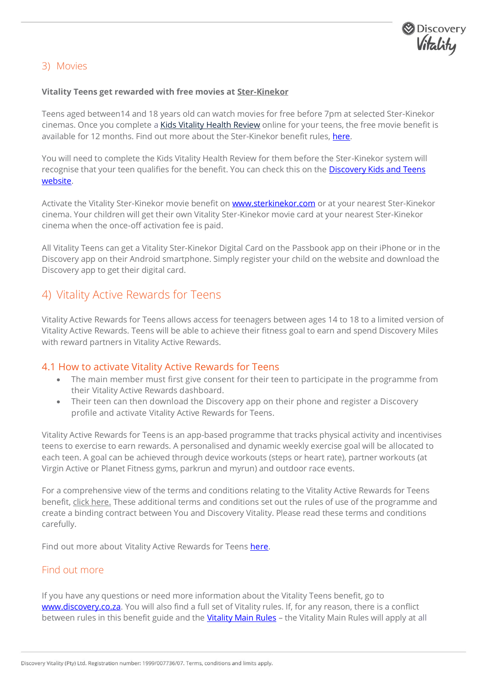

## 3) Movies

#### **Vitality Teens get rewarded with free movies at [Ster-Kinekor](https://www.discovery.co.za/vitality/ster-kinekor)**

Teens aged between14 and 18 years old can watch movies for free before 7pm at selected Ster-Kinekor cinemas. Once you complete a [Kids Vitality Health Review](https://www.discovery.co.za/portal/individual/vitality-kids-phr) online for your teens, the free movie benefit is available for 12 months. Find out more about the Ster-Kinekor benefit rules[, here.](https://www.discovery.co.za/discovery_coza/web/linked_content/pdfs/vitality/benefit_rules/ster_kinekor_benefit_guide.pdf)

You will need to complete the Kids Vitality Health Review for them before the Ster-Kinekor system will recognise that your teen qualifies for the benefit. You can check this on the [Discovery Kids and Teens](https://www.discovery.co.za/portal/individual/vitality-kids-teens)  [website.](https://www.discovery.co.za/portal/individual/vitality-kids-teens)

Activate the Vitality Ster-Kinekor movie benefit on **www.sterkinekor.com** or at your nearest Ster-Kinekor cinema. Your children will get their own Vitality Ster-Kinekor movie card at your nearest Ster-Kinekor cinema when the once-off activation fee is paid.

All Vitality Teens can get a Vitality Ster-Kinekor Digital Card on the Passbook app on their iPhone or in the Discovery app on their Android smartphone. Simply register your child on the website and download the Discovery app to get their digital card.

## 4) Vitality Active Rewards for Teens

Vitality Active Rewards for Teens allows access for teenagers between ages 14 to 18 to a limited version of Vitality Active Rewards. Teens will be able to achieve their fitness goal to earn and spend Discovery Miles with reward partners in Vitality Active Rewards.

#### 4.1 How to activate Vitality Active Rewards for Teens

- The main member must first give consent for their teen to participate in the programme from their Vitality Active Rewards dashboard.
- Their teen can then download the Discovery app on their phone and register a Discovery profile and activate Vitality Active Rewards for Teens.

Vitality Active Rewards for Teens is an app-based programme that tracks physical activity and incentivises teens to exercise to earn rewards. A personalised and dynamic weekly exercise goal will be allocated to each teen. A goal can be achieved through device workouts (steps or heart rate), partner workouts (at Virgin Active or Planet Fitness gyms, parkrun and myrun) and outdoor race events.

For a comprehensive view of the terms and conditions relating to the Vitality Active Rewards for Teens benefit, [click here.](https://www.discovery.co.za/assets/template-resources/terms-and-conditions/vitality/vitality-kids-terms-and-conditions.pdf) These additional terms and conditions set out the rules of use of the programme and create a binding contract between You and Discovery Vitality. Please read these terms and conditions carefully.

Find out more about Vitality Active Rewards for Teens [here.](https://www.discovery.co.za/discovery_coza/web/linked_content/pdfs/vitality/benefit_rules/vitality_active_rewards_benefit_guide.pdf)

#### Find out more

If you have any questions or need more information about the Vitality Teens benefit, go to [www.discovery.co.za.](http://www.discovery.co.za/) You will also find a full set of Vitality rules. If, for any reason, there is a conflict between rules in this benefit guide and the *Vitality Main Rules* – the [Vitality Main Rules](https://www.discovery.co.za/discovery_coza/web/linked_content/pdfs/vitality/vitality_main_rules.pdf) will apply at all